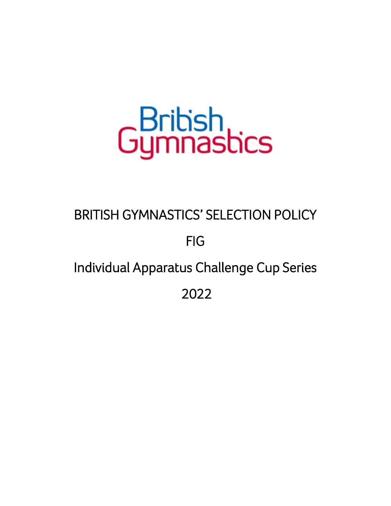# Gumnastics

## BRITISH GYMNASTICS' SELECTION POLICY

## FIG

## Individual Apparatus Challenge Cup Series

2022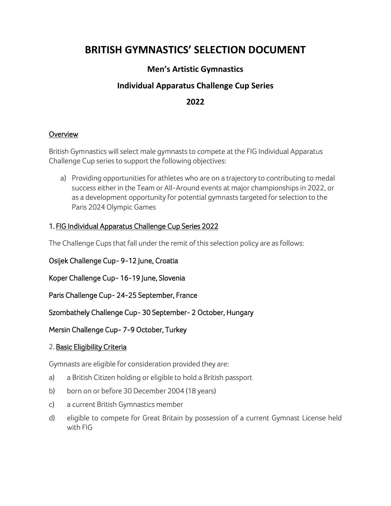### **BRITISH GYMNASTICS' SELECTION DOCUMENT**

#### **Men's Artistic Gymnastics**

#### **Individual Apparatus Challenge Cup Series**

#### **2022**

#### **Overview**

British Gymnastics will select male gymnasts to compete at the FIG Individual Apparatus Challenge Cup series to support the following objectives:

a) Providing opportunities for athletes who are on a trajectory to contributing to medal success either in the Team or All-Around events at major championships in 2022, or as a development opportunity for potential gymnasts targeted for selection to the Paris 2024 Olympic Games

#### 1. FIG Individual Apparatus Challenge Cup Series 2022

The Challenge Cups that fall under the remit of this selection policy are as follows:

Osijek Challenge Cup- 9-12 June, Croatia

Koper Challenge Cup- 16-19 June, Slovenia

Paris Challenge Cup- 24-25 September, France

Szombathely Challenge Cup- 30 September- 2 October, Hungary

#### Mersin Challenge Cup- 7-9 October, Turkey

#### 2. Basic Eligibility Criteria

Gymnasts are eligible for consideration provided they are:

- a) a British Citizen holding or eligible to hold a British passport
- b) born on or before 30 December 2004 (18 years)
- c) a current British Gymnastics member
- d) eligible to compete for Great Britain by possession of a current Gymnast License held with FIG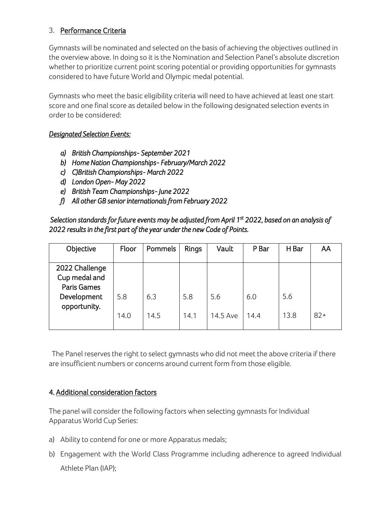#### 3. Performance Criteria

Gymnasts will be nominated and selected on the basis of achieving the objectives outlined in the overview above. In doing so it is the Nomination and Selection Panel's absolute discretion whether to prioritize current point scoring potential or providing opportunities for gymnasts considered to have future World and Olympic medal potential.

Gymnasts who meet the basic eligibility criteria will need to have achieved at least one start score and one final score as detailed below in the following designated selection events in order to be considered:

#### *Designated Selection Events:*

- *a) British Championships- September 2021*
- *b) Home Nation Championships- February/March 2022*
- *c) C)British Championships- March 2022*
- *d) London Open- May 2022*
- *e) British Team Championships- June 2022*
- *f) All other GB senior internationals from February 2022*

 *Selection standards for future events may be adjusted from April 1st 2022, based on an analysis of 2022 results in the first part of the year under the new Code of Points.* 

| Objective                                                                     | Floor       | Pommels     | <b>Rings</b> | Vault           | P Bar       | H Bar       | AA    |
|-------------------------------------------------------------------------------|-------------|-------------|--------------|-----------------|-------------|-------------|-------|
| 2022 Challenge<br>Cup medal and<br>Paris Games<br>Development<br>opportunity. | 5.8<br>14.0 | 6.3<br>14.5 | 5.8<br>14.1  | 5.6<br>14.5 Ave | 6.0<br>14.4 | 5.6<br>13.8 | $82+$ |

 The Panel reserves the right to select gymnasts who did not meet the above criteria if there are insufficient numbers or concerns around current form from those eligible.

#### 4. Additional consideration factors

The panel will consider the following factors when selecting gymnasts for Individual Apparatus World Cup Series:

- a) Ability to contend for one or more Apparatus medals;
- b) Engagement with the World Class Programme including adherence to agreed Individual Athlete Plan (IAP);